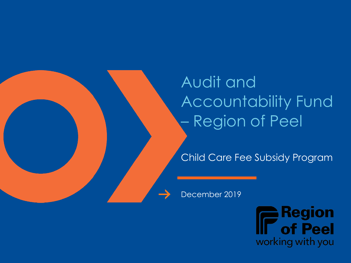Audit and Accountability Fund – Region of Peel

Child Care Fee Subsidy Program

December 2019

**Region** f Peel working with you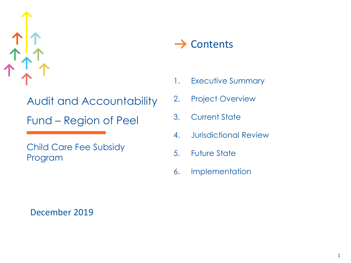

Audit and Accountability Fund – Region of Peel

Child Care Fee Subsidy Program

 $\rightarrow$  Contents

- 1. Executive Summary
- 2. Project Overview
- 3. Current State
- 4. Jurisdictional Review
- 5. Future State
- 6. Implementation

December 2019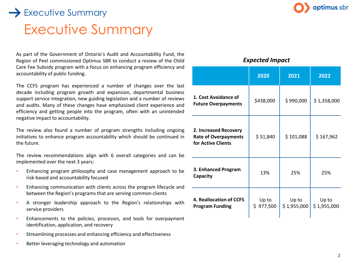## Executive Summary  $\rightarrow$  Executive Summary

As part of the Government of Ontario's Audit and Accountability Fund, the Region of Peel commissioned Optimus SBR to conduct a review of the Child Care Fee Subsidy program with a focus on enhancing program efficiency and accountability of public funding.

The CCFS program has experienced a number of changes over the last decade including program growth and expansion, departmental business support service integration, new guiding legislation and a number of reviews and audits. Many of these changes have emphasized client experience and efficiency and getting people into the program, often with an unintended negative impact to accountability.

The review also found a number of program strengths including ongoing initiatives to enhance program accountability which should be continued in the future.

The review recommendations align with 6 overall categories and can be implemented over the next 3 years:

- Enhancing program philosophy and case management approach to be risk-based and accountability focused
- Enhancing communication with clients across the program lifecycle and between the Region's programs that are serving common clients
- A stronger leadership approach to the Region's relationships with service providers
- Enhancements to the policies, processes, and tools for overpayment identification, application, and recovery
- Streamlining processes and enhancing efficiency and effectiveness
- Better leveraging technology and automation



*Expected Impact*

|                                                                            | 2020               | 2021                 | 2022                 |  |
|----------------------------------------------------------------------------|--------------------|----------------------|----------------------|--|
| 1. Cost Avoidance of<br><b>Future Overpayments</b>                         | \$438,000          | \$990,000            | \$1,358,000          |  |
| 2. Increased Recovery<br><b>Rate of Overpayments</b><br>for Active Clients | \$51,840           | \$101,088            | \$167,962            |  |
| 3. Enhanced Program<br>Capacity                                            | 13%                | 25%                  | 25%                  |  |
| 4. Reallocation of CCFS<br><b>Program Funding</b>                          | Up to<br>\$977,500 | Up to<br>\$1,955,000 | Up to<br>\$1,955,000 |  |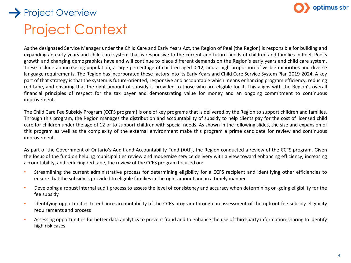

## Project Context Project Overview

As the designated Service Manager under the Child Care and Early Years Act, the Region of Peel (the Region) is responsible for building and expanding an early years and child care system that is responsive to the current and future needs of children and families in Peel. Peel's growth and changing demographics have and will continue to place different demands on the Region's early years and child care system. These include an increasing population, a large percentage of children aged 0-12, and a high proportion of visible minorities and diverse language requirements. The Region has incorporated these factors into its Early Years and Child Care Service System Plan 2019-2024. A key part of that strategy is that the system is future-oriented, responsive and accountable which means enhancing program efficiency, reducing red-tape, and ensuring that the right amount of subsidy is provided to those who are eligible for it. This aligns with the Region's overall financial principles of respect for the tax payer and demonstrating value for money and an ongoing commitment to continuous improvement.

The Child Care Fee Subsidy Program (CCFS program) is one of key programs that is delivered by the Region to support children and families. Through this program, the Region manages the distribution and accountability of subsidy to help clients pay for the cost of licensed child care for children under the age of 12 or to support children with special needs. As shown in the following slides, the size and expansion of this program as well as the complexity of the external environment make this program a prime candidate for review and continuous improvement.

As part of the Government of Ontario's Audit and Accountability Fund (AAF), the Region conducted a review of the CCFS program. Given the focus of the fund on helping municipalities review and modernize service delivery with a view toward enhancing efficiency, increasing accountability, and reducing red tape, the review of the CCFS program focused on:

- Streamlining the current administrative process for determining eligibility for a CCFS recipient and identifying other efficiencies to ensure that the subsidy is provided to eligible families in the right amount and in a timely manner
- Developing a robust internal audit process to assess the level of consistency and accuracy when determining on-going eligibility for the fee subsidy
- Identifying opportunities to enhance accountability of the CCFS program through an assessment of the upfront fee subsidy eligibility requirements and process
- Assessing opportunities for better data analytics to prevent fraud and to enhance the use of third-party information-sharing to identify high risk cases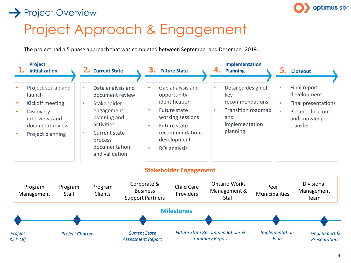### $\rightarrow$  Project Overview



# Project Approach & Engagement

The project had a 5 phase approach that was completed between September and December 2019.

| Project<br><b>Initialization</b>                                                                                             | <b>Current State</b>                                                                                                                                                                          | З.<br><b>Future State</b>                                                                                                                                                                     | Implementation<br>4.<br><b>Planning</b>                                                                           | <b>Closeout</b>                                                                                      |
|------------------------------------------------------------------------------------------------------------------------------|-----------------------------------------------------------------------------------------------------------------------------------------------------------------------------------------------|-----------------------------------------------------------------------------------------------------------------------------------------------------------------------------------------------|-------------------------------------------------------------------------------------------------------------------|------------------------------------------------------------------------------------------------------|
| Project set-up and<br>launch<br>Kickoff meeting<br><b>Discovery</b><br>interviews and<br>document review<br>Project planning | Data analysis and<br>$\bullet$<br>document review<br>Stakeholder<br>$\bullet$<br>engagement<br>planning and<br>activities<br>Current state<br>۰<br>process<br>documentation<br>and validation | Gap analysis and<br>opportunity<br>identification<br>Future state<br>$\bullet$<br>working sessions<br>Future state<br>$\bullet$<br>recommendations<br>development<br><b>ROI</b> analysis<br>٠ | Detailed design of<br>٠<br>key<br>recommendations<br>Transition roadmap<br>٠<br>and<br>implementation<br>planning | Final report<br>development<br>Final presentations<br>Project close out<br>and knowledge<br>transfer |

#### **Stakeholder Engagement**

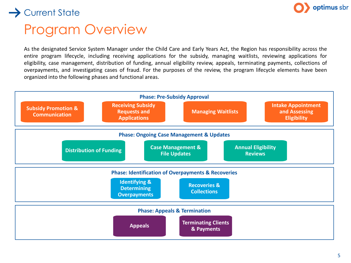

# Program Overview

 $\rightarrow$  Current State

As the designated Service System Manager under the Child Care and Early Years Act, the Region has responsibility across the entire program lifecycle, including receiving applications for the subsidy, managing waitlists, reviewing applications for eligibility, case management, distribution of funding, annual eligibility review, appeals, terminating payments, collections of overpayments, and investigating cases of fraud. For the purposes of the review, the program lifecycle elements have been organized into the following phases and functional areas.

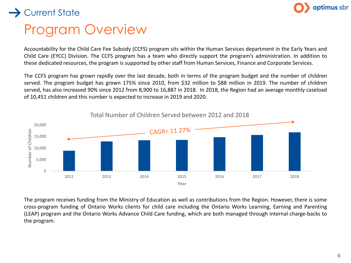

# Program Overview

> Current State

Accountability for the Child Care Fee Subsidy (CCFS) program sits within the Human Services department in the Early Years and Child Care (EYCC) Division. The CCFS program has a team who directly support the program's administration. In addition to these dedicated resources, the program is supported by other staff from Human Services, Finance and Corporate Services.

The CCFS program has grown rapidly over the last decade, both in terms of the program budget and the number of children served. The program budget has grown 175% since 2010, from \$32 million to \$88 million in 2019. The number of children served, has also increased 90% since 2012 from 8,900 to 16,887 in 2018. In 2018, the Region had an average monthly caseload of 10,451 children and this number is expected to increase in 2019 and 2020.



The program receives funding from the Ministry of Education as well as contributions from the Region. However, there is some cross-program funding of Ontario Works clients for child care including the Ontario Works Learning, Earning and Parenting (LEAP) program and the Ontario Works Advance Child Care funding, which are both managed through internal charge-backs to the program.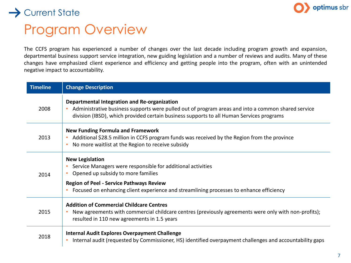

## Program Overview

The CCFS program has experienced a number of changes over the last decade including program growth and expansion, departmental business support service integration, new guiding legislation and a number of reviews and audits. Many of these changes have emphasized client experience and efficiency and getting people into the program, often with an unintended negative impact to accountability.

| <b>Timeline</b> | <b>Change Description</b>                                                                                                                                                                                                                                                 |
|-----------------|---------------------------------------------------------------------------------------------------------------------------------------------------------------------------------------------------------------------------------------------------------------------------|
| 2008            | Departmental Integration and Re-organization<br>Administrative business supports were pulled out of program areas and into a common shared service<br>division (IBSD), which provided certain business supports to all Human Services programs                            |
| 2013            | <b>New Funding Formula and Framework</b><br>Additional \$28.5 million in CCFS program funds was received by the Region from the province<br>No more waitlist at the Region to receive subsidy<br>$\bullet$                                                                |
| 2014            | <b>New Legislation</b><br>Service Managers were responsible for additional activities<br>Opened up subsidy to more families<br><b>Region of Peel - Service Pathways Review</b><br>Focused on enhancing client experience and streamlining processes to enhance efficiency |
| 2015            | <b>Addition of Commercial Childcare Centres</b><br>New agreements with commercial childcare centres (previously agreements were only with non-profits);<br>resulted in 110 new agreements in 1.5 years                                                                    |
| 2018            | <b>Internal Audit Explores Overpayment Challenge</b><br>Internal audit (requested by Commissioner, HS) identified overpayment challenges and accountability gaps<br>$\bullet$                                                                                             |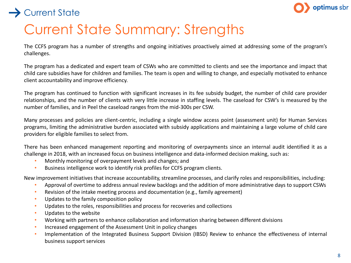



## Current State Summary: Strengths

The CCFS program has a number of strengths and ongoing initiatives proactively aimed at addressing some of the program's challenges.

The program has a dedicated and expert team of CSWs who are committed to clients and see the importance and impact that child care subsidies have for children and families. The team is open and willing to change, and especially motivated to enhance client accountability and improve efficiency.

The program has continued to function with significant increases in its fee subsidy budget, the number of child care provider relationships, and the number of clients with very little increase in staffing levels. The caseload for CSW's is measured by the number of families, and in Peel the caseload ranges from the mid-300s per CSW.

Many processes and policies are client-centric, including a single window access point (assessment unit) for Human Services programs, limiting the administrative burden associated with subsidy applications and maintaining a large volume of child care providers for eligible families to select from.

There has been enhanced management reporting and monitoring of overpayments since an internal audit identified it as a challenge in 2018, with an increased focus on business intelligence and data-informed decision making, such as:

- Monthly monitoring of overpayment levels and changes; and
- Business intelligence work to identify risk profiles for CCFS program clients.

New improvement initiatives that increase accountability, streamline processes, and clarify roles and responsibilities, including:

- Approval of overtime to address annual review backlogs and the addition of more administrative days to support CSWs
- Revision of the intake meeting process and documentation (e.g., family agreement)
- Updates to the family composition policy
- Updates to the roles, responsibilities and process for recoveries and collections
- Updates to the website
- Working with partners to enhance collaboration and information sharing between different divisions
- Increased engagement of the Assessment Unit in policy changes
- Implementation of the Integrated Business Support Division (IBSD) Review to enhance the effectiveness of internal business support services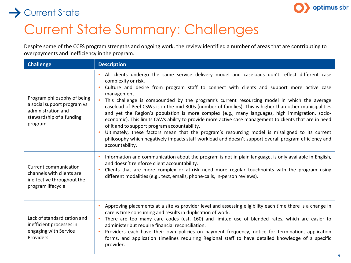

# Current State Summary: Challenges

Despite some of the CCFS program strengths and ongoing work, the review identified a number of areas that are contributing to overpayments and inefficiency in the program.

| <b>Challenge</b>                                                                                                        | <b>Description</b>                                                                                                                                                                                                                                                                                                                                                                                                                                                                                                                                                                                                                                                                                                                                                                                                                                                                                                                                                 |
|-------------------------------------------------------------------------------------------------------------------------|--------------------------------------------------------------------------------------------------------------------------------------------------------------------------------------------------------------------------------------------------------------------------------------------------------------------------------------------------------------------------------------------------------------------------------------------------------------------------------------------------------------------------------------------------------------------------------------------------------------------------------------------------------------------------------------------------------------------------------------------------------------------------------------------------------------------------------------------------------------------------------------------------------------------------------------------------------------------|
| Program philosophy of being<br>a social support program vs<br>administration and<br>stewardship of a funding<br>program | All clients undergo the same service delivery model and caseloads don't reflect different case<br>complexity or risk.<br>Culture and desire from program staff to connect with clients and support more active case<br>$\bullet$<br>management.<br>This challenge is compounded by the program's current resourcing model in which the average<br>$\bullet$<br>caseload of Peel CSWs is in the mid 300s (number of families). This is higher than other municipalities<br>and yet the Region's population is more complex (e.g., many languages, high immigration, socio-<br>economic). This limits CSWs ability to provide more active case management to clients that are in need<br>of it and to support program accountability.<br>Ultimately, these factors mean that the program's resourcing model is misaligned to its current<br>philosophy which negatively impacts staff workload and doesn't support overall program efficiency and<br>accountability. |
| Current communication<br>channels with clients are<br>ineffective throughout the<br>program lifecycle                   | Information and communication about the program is not in plain language, is only available in English,<br>$\bullet$<br>and doesn't reinforce client accountability.<br>Clients that are more complex or at-risk need more regular touchpoints with the program using<br>$\bullet$<br>different modalities (e.g., text, emails, phone-calls, in-person reviews).                                                                                                                                                                                                                                                                                                                                                                                                                                                                                                                                                                                                   |
| Lack of standardization and<br>inefficient processes in<br>engaging with Service<br>Providers                           | Approving placements at a site vs provider level and assessing eligibility each time there is a change in<br>care is time consuming and results in duplication of work.<br>There are too many care codes (est. 160) and limited use of blended rates, which are easier to<br>$\bullet$<br>administer but require financial reconciliation.<br>Providers each have their own policies on payment frequency, notice for termination, application<br>$\bullet$<br>forms, and application timelines requiring Regional staff to have detailed knowledge of a specific<br>provider.                                                                                                                                                                                                                                                                                                                                                                                     |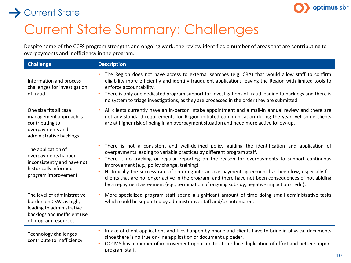

# Current State Summary: Challenges

Despite some of the CCFS program strengths and ongoing work, the review identified a number of areas that are contributing to overpayments and inefficiency in the program.

| <b>Challenge</b>                                                                                                                            | <b>Description</b>                                                                                                                                                                                                                                                                                                                                                                                                                                                                                                                                                                                                                          |
|---------------------------------------------------------------------------------------------------------------------------------------------|---------------------------------------------------------------------------------------------------------------------------------------------------------------------------------------------------------------------------------------------------------------------------------------------------------------------------------------------------------------------------------------------------------------------------------------------------------------------------------------------------------------------------------------------------------------------------------------------------------------------------------------------|
| Information and process<br>challenges for investigation<br>of fraud                                                                         | The Region does not have access to external searches (e.g. CRA) that would allow staff to confirm<br>eligibility more efficiently and identify fraudulent applications leaving the Region with limited tools to<br>enforce accountability.<br>There is only one dedicated program support for investigations of fraud leading to backlogs and there is<br>no system to triage investigations, as they are processed in the order they are submitted.                                                                                                                                                                                        |
| One size fits all case<br>management approach is<br>contributing to<br>overpayments and<br>administrative backlogs                          | All clients currently have an in-person intake appointment and a mail-in annual review and there are<br>not any standard requirements for Region-initiated communication during the year, yet some clients<br>are at higher risk of being in an overpayment situation and need more active follow-up.                                                                                                                                                                                                                                                                                                                                       |
| The application of<br>overpayments happen<br>inconsistently and have not<br>historically informed<br>program improvement                    | There is not a consistent and well-defined policy guiding the identification and application of<br>overpayments leading to variable practices by different program staff.<br>There is no tracking or regular reporting on the reason for overpayments to support continuous<br>improvement (e.g., policy change, training).<br>Historically the success rate of entering into an overpayment agreement has been low, especially for<br>clients that are no longer active in the program, and there have not been consequences of not abiding<br>by a repayment agreement (e.g., termination of ongoing subsidy, negative impact on credit). |
| The level of administrative<br>burden on CSWs is high,<br>leading to administrative<br>backlogs and inefficient use<br>of program resources | More specialized program staff spend a significant amount of time doing small administrative tasks<br>which could be supported by administrative staff and/or automated.                                                                                                                                                                                                                                                                                                                                                                                                                                                                    |
| <b>Technology challenges</b><br>contribute to inefficiency                                                                                  | Intake of client applications and files happen by phone and clients have to bring in physical documents<br>since there is no true on-line application or document uploader.<br>OCCMS has a number of improvement opportunities to reduce duplication of effort and better support<br>$\bullet$<br>program staff.                                                                                                                                                                                                                                                                                                                            |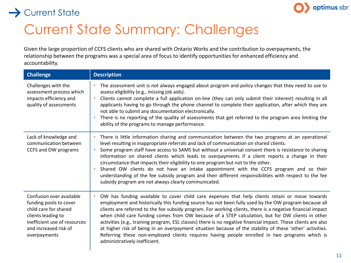

# Current State Summary: Challenges

Given the large proportion of CCFS clients who are shared with Ontario Works and the contribution to overpayments, the relationship between the programs was a special area of focus to identify opportunities for enhanced efficiency and accountability.

| <b>Challenge</b>                                                                                                                                                           | <b>Description</b>                                                                                                                                                                                                                                                                                                                                                                                                                                                                                                                                                                                                                                                                                                                                                                         |
|----------------------------------------------------------------------------------------------------------------------------------------------------------------------------|--------------------------------------------------------------------------------------------------------------------------------------------------------------------------------------------------------------------------------------------------------------------------------------------------------------------------------------------------------------------------------------------------------------------------------------------------------------------------------------------------------------------------------------------------------------------------------------------------------------------------------------------------------------------------------------------------------------------------------------------------------------------------------------------|
| Challenges with the<br>assessment process which<br>impacts efficiency and<br>quality of assessments                                                                        | The assessment unit is not always engaged about program and policy changes that they need to use to<br>assess eligibility (e.g., missing job aids).<br>Clients cannot complete a full application on-line (they can only submit their interest) resulting in all<br>applicants having to go through the phone channel to complete their application, after which they are<br>not able to submit any documentation electronically.<br>There is no reporting of the quality of assessments that get referred to the program area limiting the<br>ability of the programs to manage performance.                                                                                                                                                                                              |
| Lack of knowledge and<br>communication between<br>CCFS and OW programs                                                                                                     | There is little information sharing and communication between the two programs at an operational<br>level resulting in inappropriate referrals and lack of communication on shared clients.<br>Some program staff have access to SAMS but without a universal consent there is resistance to sharing<br>information on shared clients which leads to overpayments if a client reports a change in their<br>circumstance that impacts their eligibility to one program but not to the other.<br>Shared OW clients do not have an intake appointment with the CCFS program and so their<br>understanding of the fee subsidy program and their different responsibilities with respect to the fee<br>subsidy program are not always clearly communicated.                                     |
| Confusion over available<br>funding pools to cover<br>child care for shared<br>clients leading to<br>inefficient use of resources<br>and increased risk of<br>overpayments | OW has funding available to cover child care expenses that help clients retain or move towards<br>employment and historically this funding source has not been fully used by the OW program because all<br>clients are referred to the fee subsidy program. For working clients, there is a negative financial impact<br>when child care funding comes from OW because of a STEP calculation, but for OW clients in other<br>activities (e.g., training program, ESL classes) there is no negative financial impact. These clients are also<br>at higher risk of being in an overpayment situation because of the stability of these 'other' activities.<br>Referring these non-employed clients requires having people enrolled in two programs which is<br>administratively inefficient. |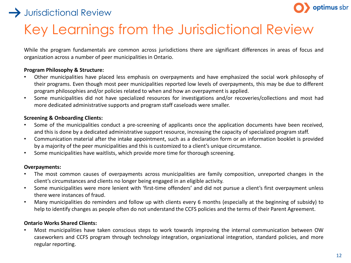### $\rightarrow$  Jurisdictional Review



# Key Learnings from the Jurisdictional Review

While the program fundamentals are common across jurisdictions there are significant differences in areas of focus and organization across a number of peer municipalities in Ontario.

#### **Program Philosophy & Structure:**

- Other municipalities have placed less emphasis on overpayments and have emphasized the social work philosophy of their programs. Even though most peer municipalities reported low levels of overpayments, this may be due to different program philosophies and/or policies related to when and how an overpayment is applied.
- Some municipalities did not have specialized resources for investigations and/or recoveries/collections and most had more dedicated administrative supports and program staff caseloads were smaller.

#### **Screening & Onboarding Clients:**

- Some of the municipalities conduct a pre-screening of applicants once the application documents have been received, and this is done by a dedicated administrative support resource, increasing the capacity of specialized program staff.
- Communication material after the intake appointment, such as a declaration form or an information booklet is provided by a majority of the peer municipalities and this is customized to a client's unique circumstance.
- Some municipalities have waitlists, which provide more time for thorough screening.

#### **Overpayments:**

- The most common causes of overpayments across municipalities are family composition, unreported changes in the client's circumstances and clients no longer being engaged in an eligible activity.
- Some municipalities were more lenient with 'first-time offenders' and did not pursue a client's first overpayment unless there were instances of fraud.
- Many municipalities do reminders and follow up with clients every 6 months (especially at the beginning of subsidy) to help to identify changes as people often do not understand the CCFS policies and the terms of their Parent Agreement.

#### **Ontario Works Shared Clients:**

• Most municipalities have taken conscious steps to work towards improving the internal communication between OW caseworkers and CCFS program through technology integration, organizational integration, standard policies, and more regular reporting.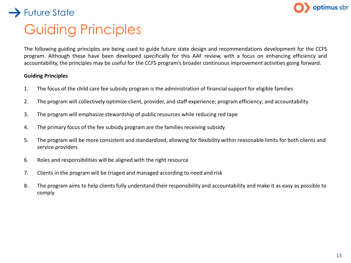

## Guiding Principles  $\rightarrow$  Future State

The following guiding principles are being used to guide future state design and recommendations development for the CCFS program. Although these have been developed specifically for this AAF review, with a focus on enhancing efficiency and accountability, the principles may be useful for the CCFS program's broader continuous improvement activities going forward.

#### **Guiding Principles**

- 1. The focus of the child care fee subsidy program is the administration of financial support for eligible families
- 2. The program will collectively optimize client, provider, and staff experience; program efficiency; and accountability
- 3. The program will emphasize stewardship of public resources while reducing red tape
- 4. The primary focus of the fee subsidy program are the families receiving subsidy
- 5. The program will be more consistent and standardized, allowing for flexibility within reasonable limits for both clients and service providers
- 6. Roles and responsibilities will be aligned with the right resource
- 7. Clients in the program will be triaged and managed according to need and risk
- 8. The program aims to help clients fully understand their responsibility and accountability and make it as easy as possible to comply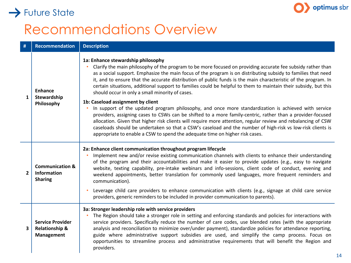

## $\rightarrow$  Future State

## Recommendations Overview

| #                       | <b>Recommendation</b>                                              | <b>Description</b>                                                                                                                                                                                                                                                                                                                                                                                                                                                                                                                                                                                                                                                                                                       |
|-------------------------|--------------------------------------------------------------------|--------------------------------------------------------------------------------------------------------------------------------------------------------------------------------------------------------------------------------------------------------------------------------------------------------------------------------------------------------------------------------------------------------------------------------------------------------------------------------------------------------------------------------------------------------------------------------------------------------------------------------------------------------------------------------------------------------------------------|
| $\mathbf{1}$            | <b>Enhance</b><br>Stewardship<br>Philosophy                        | 1a: Enhance stewardship philosophy<br>Clarify the main philosophy of the program to be more focused on providing accurate fee subsidy rather than<br>as a social support. Emphasize the main focus of the program is on distributing subsidy to families that need<br>it, and to ensure that the accurate distribution of public funds is the main characteristic of the program. In<br>certain situations, additional support to families could be helpful to them to maintain their subsidy, but this<br>should occur in only a small minority of cases.                                                                                                                                                               |
|                         |                                                                    | 1b: Caseload assignment by client<br>In support of the updated program philosophy, and once more standardization is achieved with service<br>providers, assigning cases to CSWs can be shifted to a more family-centric, rather than a provider-focused<br>allocation. Given that higher risk clients will require more attention, regular review and rebalancing of CSW<br>caseloads should be undertaken so that a CSW's caseload and the number of high-risk vs low-risk clients is<br>appropriate to enable a CSW to spend the adequate time on higher risk cases.                                                                                                                                                   |
| $\overline{2}$          | <b>Communication &amp;</b><br><b>Information</b><br><b>Sharing</b> | 2a: Enhance client communication throughout program lifecycle<br>Implement new and/or revise existing communication channels with clients to enhance their understanding<br>of the program and their accountabilities and make it easier to provide updates (e.g., easy to navigate<br>website, texting capability, pre-intake webinars and info-sessions, client code of conduct, evening and<br>weekend appointments, better translation for commonly used languages, more frequent reminders and<br>communication).<br>Leverage child care providers to enhance communication with clients (e.g., signage at child care service<br>providers, generic reminders to be included in provider communication to parents). |
| $\overline{\mathbf{3}}$ | <b>Service Provider</b><br><b>Relationship &amp;</b><br>Management | 3a: Stronger leadership role with service providers<br>The Region should take a stronger role in setting and enforcing standards and policies for interactions with<br>service providers. Specifically reduce the number of care codes, use blended rates (with the appropriate<br>analysis and reconciliation to minimize over/under payment), standardize policies for attendance reporting,<br>guide where administrative support subsidies are used, and simplify the camp process. Focus on<br>opportunities to streamline process and administrative requirements that will benefit the Region and<br>providers.                                                                                                   |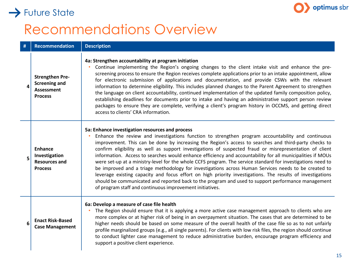## optimus sbr

# Recommendations Overview

 $\rightarrow$  Future State

| #        | <b>Recommendation</b>                                                                 | <b>Description</b>                                                                                                                                                                                                                                                                                                                                                                                                                                                                                                                                                                                                                                                                                                                                                                                                                                                                                                                                                                             |
|----------|---------------------------------------------------------------------------------------|------------------------------------------------------------------------------------------------------------------------------------------------------------------------------------------------------------------------------------------------------------------------------------------------------------------------------------------------------------------------------------------------------------------------------------------------------------------------------------------------------------------------------------------------------------------------------------------------------------------------------------------------------------------------------------------------------------------------------------------------------------------------------------------------------------------------------------------------------------------------------------------------------------------------------------------------------------------------------------------------|
| $\Delta$ | <b>Strengthen Pre-</b><br><b>Screening and</b><br><b>Assessment</b><br><b>Process</b> | 4a: Strengthen accountability at program initiation<br>Continue implementing the Region's ongoing changes to the client intake visit and enhance the pre-<br>screening process to ensure the Region receives complete applications prior to an intake appointment, allow<br>for electronic submission of applications and documentation, and provide CSWs with the relevant<br>information to determine eligibility. This includes planned changes to the Parent Agreement to strengthen<br>the language on client accountability, continued implementation of the updated family composition policy,<br>establishing deadlines for documents prior to intake and having an administrative support person review<br>packages to ensure they are complete, verifying a client's program history in OCCMS, and getting direct<br>access to clients' CRA information.                                                                                                                             |
| 5        | <b>Enhance</b><br>Investigation<br><b>Resources and</b><br><b>Process</b>             | 5a: Enhance investigation resources and process<br>Enhance the review and investigations function to strengthen program accountability and continuous<br>improvement. This can be done by increasing the Region's access to searches and third-party checks to<br>confirm eligibility as well as support investigations of suspected fraud or misrepresentation of client<br>information. Access to searches would enhance efficiency and accountability for all municipalities if MOUs<br>were set-up at a ministry-level for the whole CCFS program. The service standard for investigations need to<br>be improved and a triage methodology for investigations across Human Services needs to be created to<br>leverage existing capacity and focus effort on high priority investigations. The results of investigations<br>should be communicated and reported back to the program and used to support performance management<br>of program staff and continuous improvement initiatives. |
| 6        | <b>Enact Risk-Based</b><br><b>Case Management</b>                                     | 6a: Develop a measure of case file health<br>The Region should ensure that it is applying a more active case management approach to clients who are<br>more complex or at higher risk of being in an overpayment situation. The cases that are determined to be<br>higher needs should be based on some measure of the overall health of the case file so as to not unfairly<br>profile marginalized groups (e.g., all single parents). For clients with low risk files, the region should continue<br>to conduct lighter case management to reduce administrative burden, encourage program efficiency and<br>support a positive client experience.                                                                                                                                                                                                                                                                                                                                           |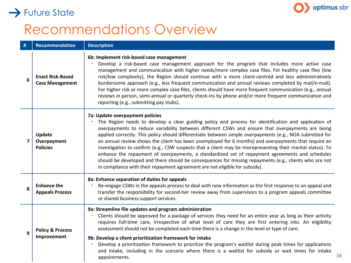

16

### $\rightarrow$  Future State

## Recommendations Overview

| # | <b>Recommendation</b>                             | <b>Description</b>                                                                                                                                                                                                                                                                                                                                                                                                                                                                                                                                                                                                                                                                                                                                                                                                                                                         |
|---|---------------------------------------------------|----------------------------------------------------------------------------------------------------------------------------------------------------------------------------------------------------------------------------------------------------------------------------------------------------------------------------------------------------------------------------------------------------------------------------------------------------------------------------------------------------------------------------------------------------------------------------------------------------------------------------------------------------------------------------------------------------------------------------------------------------------------------------------------------------------------------------------------------------------------------------|
| 6 | <b>Enact Risk-Based</b><br><b>Case Management</b> | 6b: Implement risk-based case management<br>Develop a risk-based case management approach for the program that includes more active case<br>management and communication with higher needs/more complex case files. For healthy case files (low<br>risk/low complexity), the Region should continue with a more client-centred and less administratively<br>burdensome approach (e.g., less frequent communication and annual reviews completed by mail/e-mail).<br>For higher risk or more complex case files, clients should have more frequent communication (e.g., annual<br>reviews in person, semi-annual or quarterly check-ins by phone and/or more frequent communication and<br>reporting (e.g., submitting pay stubs).                                                                                                                                          |
| 7 | Update<br>Overpayment<br><b>Policies</b>          | 7a: Update overpayment policies<br>The Region needs to develop a clear guiding policy and process for identification and application of<br>overpayments to reduce variability between different CSWs and ensure that overpayments are being<br>applied correctly. This policy should differentiate between simple overpayments (e.g., NOA submitted for<br>an annual review shows the client has been unemployed for 6 months) and overpayments that require an<br>investigation to confirm (e.g., CSW suspects that a client may be misrepresenting their marital status). To<br>enhance the repayment of overpayments, a standardized set of repayment agreements and schedules<br>should be developed and there should be consequences for missing repayments (e.g., clients who are not<br>in compliance with their repayment agreement are not eligible for subsidy). |
| 8 | <b>Enhance the</b><br><b>Appeals Process</b>      | 8a: Enhance separation of duties for appeals<br>Re-engage CSWs in the appeals process to deal with new information as the first response to an appeal and<br>transfer the responsibility for second-tier review away from supervisors to a program appeals committee<br>or shared business support services.                                                                                                                                                                                                                                                                                                                                                                                                                                                                                                                                                               |
| 9 | <b>Policy &amp; Process</b><br>Improvement        | 9a: Streamline file updates and program administration<br>Clients should be approved for a package of services they need for an entire year as long as their activity<br>requires full-time care, irrespective of what level of care they are first entering into. An eligibility<br>assessment should not be completed each time there is a change in the level or type of care.<br>9b: Develop a client prioritization framework for intake<br>Develop a prioritization framework to prioritize the program's waitlist during peak times for applications<br>and intake, including in the scenario where there is a waitlist for subsidy or wait times for intake                                                                                                                                                                                                        |
|   |                                                   | appointments.                                                                                                                                                                                                                                                                                                                                                                                                                                                                                                                                                                                                                                                                                                                                                                                                                                                              |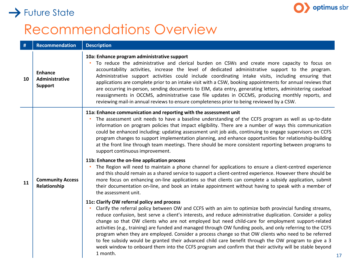

# Recommendations Overview

 $\rightarrow$  Future State

| #  | <b>Recommendation</b>                              | <b>Description</b>                                                                                                                                                                                                                                                                                                                                                                                                                                                                                                                                                                                                                                                                                                                                                                                                                |
|----|----------------------------------------------------|-----------------------------------------------------------------------------------------------------------------------------------------------------------------------------------------------------------------------------------------------------------------------------------------------------------------------------------------------------------------------------------------------------------------------------------------------------------------------------------------------------------------------------------------------------------------------------------------------------------------------------------------------------------------------------------------------------------------------------------------------------------------------------------------------------------------------------------|
| 10 | <b>Enhance</b><br>Administrative<br><b>Support</b> | 10a: Enhance program administrative support<br>To reduce the administrative and clerical burden on CSWs and create more capacity to focus on<br>accountability activities, increase the level of dedicated administrative support to the program.<br>Administrative support activities could include coordinating intake visits, including ensuring that<br>applications are complete prior to an intake visit with a CSW, booking appointments for annual reviews that<br>are occurring in-person, sending documents to EIM, data entry, generating letters, administering caseload<br>reassignments in OCCMS, administrative case file updates in OCCMS, producing monthly reports, and<br>reviewing mail-in annual reviews to ensure completeness prior to being reviewed by a CSW.                                            |
| 11 |                                                    | 11a: Enhance communication and reporting with the assessment unit<br>The assessment unit needs to have a baseline understanding of the CCFS program as well as up-to-date<br>information on program policies that impact eligibility. There are a number of ways this communication<br>could be enhanced including: updating assessment unit job aids, continuing to engage supervisors on CCFS<br>program changes to support implementation planning, and enhance opportunities for relationship-building<br>at the front line through team meetings. There should be more consistent reporting between programs to<br>support continuous improvement.<br>11b: Enhance the on-line application process                                                                                                                           |
|    | <b>Community Access</b><br>Relationship            | The Region will need to maintain a phone channel for applications to ensure a client-centred experience<br>and this should remain as a shared service to support a client-centred experience. However there should be<br>more focus on enhancing on-line applications so that clients can complete a subsidy application, submit<br>their documentation on-line, and book an intake appointment without having to speak with a member of<br>the assessment unit.                                                                                                                                                                                                                                                                                                                                                                  |
|    |                                                    | 11c: Clarify OW referral policy and process<br>Clarify the referral policy between OW and CCFS with an aim to optimize both provincial funding streams,<br>reduce confusion, best serve a client's interests, and reduce administrative duplication. Consider a policy<br>change so that OW clients who are not employed but need child-care for employment support-related<br>activities (e.g., training) are funded and managed through OW funding pools, and only referring to the CCFS<br>program when they are employed. Consider a process change so that OW clients who need to be referred<br>to fee subsidy would be granted their advanced child care benefit through the OW program to give a 3<br>week window to onboard them into the CCFS program and confirm that their activity will be stable beyond<br>1 month. |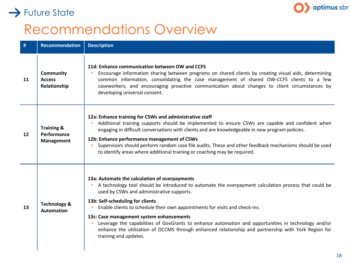

### $\rightarrow$  Future State

## Recommendations Overview

| #  | <b>Recommendation</b>                              | <b>Description</b>                                                                                                                                                                                                                                                                                                                                                                                                                                                                                                                                                                                       |
|----|----------------------------------------------------|----------------------------------------------------------------------------------------------------------------------------------------------------------------------------------------------------------------------------------------------------------------------------------------------------------------------------------------------------------------------------------------------------------------------------------------------------------------------------------------------------------------------------------------------------------------------------------------------------------|
| 11 | <b>Community</b><br><b>Access</b><br>Relationship  | 11d: Enhance communication between OW and CCFS<br>Encourage information sharing between programs on shared clients by creating visual aids, determining<br>common information, consolidating the case management of shared OW-CCFS clients to a few<br>caseworkers, and encouraging proactive communication about changes to client circumstances by<br>developing universal consent.                                                                                                                                                                                                                    |
| 12 | <b>Training &amp;</b><br>Performance<br>Management | 12a: Enhance training for CSWs and administrative staff<br>Additional training supports should be implemented to ensure CSWs are capable and confident when<br>engaging in difficult conversations with clients and are knowledgeable in new program policies.<br>12b: Enhance performance management of CSWs<br>Supervisors should perform random case file audits. These and other feedback mechanisms should be used<br>to identify areas where additional training or coaching may be required.                                                                                                      |
| 13 | <b>Technology &amp;</b><br><b>Automation</b>       | 13a: Automate the calculation of overpayments<br>A technology tool should be introduced to automate the overpayment calculation process that could be<br>used by CSWs and administrative supports.<br>13b: Self-scheduling for clients<br>Enable clients to schedule their own appointments for visits and check-ins.<br>13c: Case management system enhancements<br>Leverage the capabilities of GovGrants to enhance automation and opportunities in technology and/or<br>enhance the utilization of OCCMS through enhanced relationship and partnership with York Region for<br>training and updates. |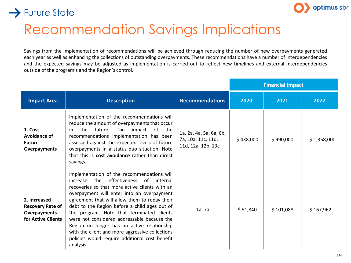

### $\rightarrow$  Future State

## Recommendation Savings Implications

Savings from the implementation of recommendations will be achieved through reducing the number of new overpayments generated each year as well as enhancing the collections of outstanding overpayments. These recommendations have a number of interdependencies and the expected savings may be adjusted as implementation is carried out to reflect new timelines and external interdependencies outside of the program's and the Region's control.

|                                                                                      |                                                                                                                                                                                                                                                                                                                                                                                                                                                                                                                                                                 |                                                                     |           | <b>Financial Impact</b> |             |  |
|--------------------------------------------------------------------------------------|-----------------------------------------------------------------------------------------------------------------------------------------------------------------------------------------------------------------------------------------------------------------------------------------------------------------------------------------------------------------------------------------------------------------------------------------------------------------------------------------------------------------------------------------------------------------|---------------------------------------------------------------------|-----------|-------------------------|-------------|--|
| <b>Impact Area</b>                                                                   | <b>Description</b>                                                                                                                                                                                                                                                                                                                                                                                                                                                                                                                                              | <b>Recommendations</b>                                              | 2020      | 2021                    | 2022        |  |
| 1. Cost<br><b>Avoidance of</b><br><b>Future</b><br><b>Overpayments</b>               | Implementation of the recommendations will<br>reduce the amount of overpayments that occur<br>future.<br>the<br>The<br>impact<br>of the<br>in.<br>recommendations implementation has been<br>assessed against the expected levels of future<br>overpayments in a status quo situation. Note<br>that this is cost avoidance rather than direct<br>savings.                                                                                                                                                                                                       | 1a, 2a, 4a, 5a, 6a, 6b,<br>7a, 10a, 11c, 11d,<br>11d, 12a, 12b, 13c | \$438,000 | \$990,000               | \$1,358,000 |  |
| 2. Increased<br><b>Recovery Rate of</b><br><b>Overpayments</b><br>for Active Clients | Implementation of the recommendations will<br>effectiveness<br>the<br>of<br>internal<br>increase<br>recoveries so that more active clients with an<br>overpayment will enter into an overpayment<br>agreement that will allow them to repay their<br>debt to the Region before a child ages out of<br>the program. Note that terminated clients<br>were not considered addressable because the<br>Region no longer has an active relationship<br>with the client and more aggressive collections<br>policies would require additional cost benefit<br>analysis. | 1a, 7a                                                              | \$51,840  | \$101,088               | \$167,962   |  |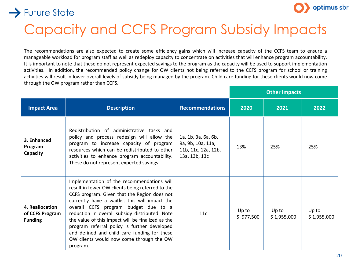



## Capacity and CCFS Program Subsidy Impacts

The recommendations are also expected to create some efficiency gains which will increase capacity of the CCFS team to ensure a manageable workload for program staff as well as redeploy capacity to concentrate on activities that will enhance program accountability. It is important to note that these do not represent expected savings to the program as the capacity will be used to support implementation activities. In addition, the recommended policy change for OW clients not being referred to the CCFS program for school or training activities will result in lower overall levels of subsidy being managed by the program. Child care funding for these clients would now come through the OW program rather than CCFS.

|                                                      |                                                                                                                                                                                                                                                                                                                                                                                                                                                                                                         |                                                                                  | <b>Other Impacts</b> |                      |                      |
|------------------------------------------------------|---------------------------------------------------------------------------------------------------------------------------------------------------------------------------------------------------------------------------------------------------------------------------------------------------------------------------------------------------------------------------------------------------------------------------------------------------------------------------------------------------------|----------------------------------------------------------------------------------|----------------------|----------------------|----------------------|
| <b>Impact Area</b>                                   | <b>Description</b>                                                                                                                                                                                                                                                                                                                                                                                                                                                                                      | <b>Recommendations</b>                                                           | 2020                 | 2021                 | 2022                 |
| 3. Enhanced<br>Program<br>Capacity                   | Redistribution of administrative tasks and<br>policy and process redesign will allow the<br>program to increase capacity of program<br>resources which can be redistributed to other<br>activities to enhance program accountability.<br>These do not represent expected savings.                                                                                                                                                                                                                       | 1a, 1b, 3a, 6a, 6b,<br>9a, 9b, 10a, 11a,<br>11b, 11c, 12a, 12b,<br>13a, 13b, 13c | 13%                  | 25%                  | 25%                  |
| 4. Reallocation<br>of CCFS Program<br><b>Funding</b> | Implementation of the recommendations will<br>result in fewer OW clients being referred to the<br>CCFS program. Given that the Region does not<br>currently have a waitlist this will impact the<br>overall CCFS program budget due to a<br>reduction in overall subsidy distributed. Note<br>the value of this impact will be finalized as the<br>program referral policy is further developed<br>and defined and child care funding for these<br>OW clients would now come through the OW<br>program. | 11c                                                                              | Up to<br>\$977,500   | Up to<br>\$1,955,000 | Up to<br>\$1,955,000 |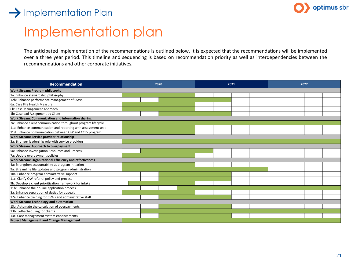### $\rightarrow$  Implementation Plan



## Implementation plan

The anticipated implementation of the recommendations is outlined below. It is expected that the recommendations will be implemented over a three year period. This timeline and sequencing is based on recommendation priority as well as interdependencies between the recommendations and other corporate initiatives.

| <b>Recommendation</b>                                         | 2020 | 2021 | 2022 |  |
|---------------------------------------------------------------|------|------|------|--|
| Work Stream: Program philosophy                               |      |      |      |  |
| 1a: Enhance stewardship philosophy                            |      |      |      |  |
| 12b: Enhance performance management of CSWs                   |      |      |      |  |
| 6a: Case File Health Measure                                  |      |      |      |  |
| 6b: Case Management Approach                                  |      |      |      |  |
| 1b: Caseload Assignment by Client                             |      |      |      |  |
| Work Stream: Communication and information sharing            |      |      |      |  |
| 2a: Enhance client communication throughout program lifecycle |      |      |      |  |
| 11a: Enhance communication and reporting with assessment unit |      |      |      |  |
| 11d: Enhance communication between OW and CCFS program        |      |      |      |  |
| Work Stream: Service provider relationship                    |      |      |      |  |
| 3a: Stronger leadership role with service providers           |      |      |      |  |
| Work Stream: Approach to overpayment                          |      |      |      |  |
| 5a: Enhance Investigation Resources and Process               |      |      |      |  |
| 7a: Update overpayment policies                               |      |      |      |  |
| Work Stream: Organizational efficiency and effectiveness      |      |      |      |  |
| 4a: Strengthen accountability at program initiation           |      |      |      |  |
| 9a: Streamline file updates and program administration        |      |      |      |  |
| 10a: Enhance program administrative support                   |      |      |      |  |
| 11c: Clarify OW referral policy and process                   |      |      |      |  |
| 9b: Develop a client prioritization framework for intake      |      |      |      |  |
| 11b: Enhance the on-line application process                  |      |      |      |  |
| 8a: Enhance separation of duties for appeals                  |      |      |      |  |
| 12a: Enhance training for CSWs and administrative staff       |      |      |      |  |
| Work Stream: Technology and automation                        |      |      |      |  |
| 13a: Automate the calculation of overpayments                 |      |      |      |  |
| 13b: Self-scheduling for clients                              |      |      |      |  |
| 13c: Case management system enhancements                      |      |      |      |  |
| <b>Project Management and Change Management</b>               |      |      |      |  |